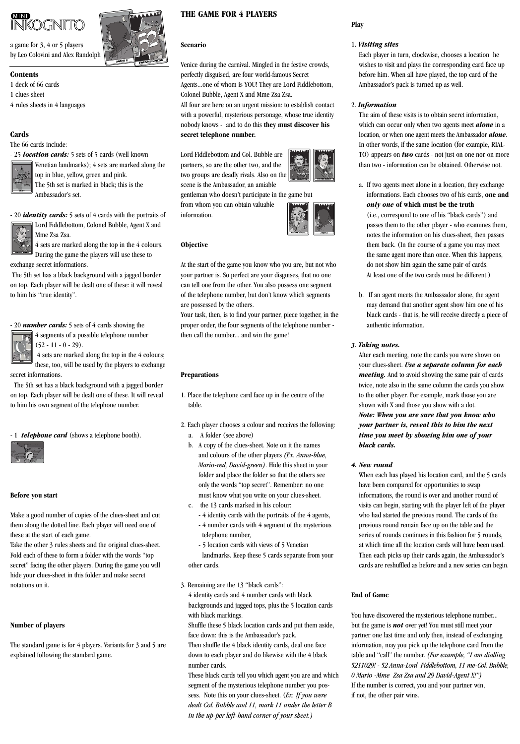# **MND INKOGNITO**

a game for 3, 4 or 5 players by Leo Colovini and Alex Randolph

# **Contents**

1 deck of 66 cards

1 clues-sheet

4 rules sheets in 4 languages

# **Cards**

The 66 cards include:



Venetian landmarks); 4 sets are marked along the top in blue, yellow, green and pink. The 5th set is marked in black; this is the Ambassador's set.

- 20 *identity cards:* 5 sets of 4 cards with the portraits of Lord Fiddlebottom, Colonel Bubble, Agent X and B B



4 sets are marked along the top in the 4 colours. During the game the players will use these to exchange secret informations.

The 5th set has a black background with a jagged border on top. Each player will be dealt one of these: it will reveal to him his "true identity".

## - 20 *number cards:* 5 sets of 4 cards showing the

4 sets are marked along the top in the 4 colours; these, too, will be used by the players to exchange secret informations.

The 5th set has a black background with a jagged border on top. Each player will be dealt one of these. It will reveal to him his own segment of the telephone number.

- 1 *telephone card* (shows a telephone booth).



## **Before you start**

Make a good number of copies of the clues-sheet and cut them along the dotted line. Each player will need one of these at the start of each game.

Take the other 3 rules sheets and the original clues-sheet. Fold each of these to form a folder with the words "top secret" facing the other players. During the game you will hide your clues-sheet in this folder and make secret notations on it.

## **Number of players**

The standard game is for 4 players. Variants for 3 and 5 are explained following the standard game.

# **THE GAME FOR 4 PLAYERS**

#### **Scenario**

Venice during the carnival. Mingled in the festive crowds, perfectly disguised, are four world-famous Secret Agents...one of whom is YOU! They are Lord Fiddlebottom, Colonel Bubble, Agent X and Mme Zsa Zsa.

All four are here on an urgent mission: to establish contact with a powerful, mysterious personage, whose true identity nobody knows - and to do this **they must discover his secret telephone number.**

Lord Fiddlebottom and Col. Bubble are partners, so are the other two, and the two groups are deadly rivals. Also on the scene is the Ambassador, an amiable



gentleman who doesn't participate in the game but from whom you can obtain valuable information.



# **Objective**

At the start of the game you know who you are, but not who your partner is. So perfect are your disguises, that no one can tell one from the other. You also possess one segment of the telephone number, but don't know which segments are possessed by the others.

Your task, then, is to find your partner, piece together, in the proper order, the four segments of the telephone number then call the number... and win the game!

## **Preparations**

- 1. Place the telephone card face up in the centre of the table.
- 2. Each player chooses a colour and receives the following:
	- a. A folder (see above)
	- b. A copy of the clues-sheet. Note on it the names and colours of the other players *(Ex. Anna-blue, Mario-red, David-green)*. Hide this sheet in your folder and place the folder so that the others see only the words "top secret". Remember: no one must know what you write on your clues-sheet.
	- c. the 13 cards marked in his colour:
		- 4 identity cards with the portraits of the 4 agents, - 4 number cards with 4 segment of the mysterious telephone number,

- 5 location cards with views of 5 Venetian landmarks. Keep these 5 cards separate from your other cards.

3. Remaining are the 13 "black cards": 4 identity cards and 4 number cards with black backgrounds and jagged tops, plus the 5 location cards with black markings.

Shuffle these 5 black location cards and put them aside, face down: this is the Ambassador's pack. Then shuffle the 4 black identity cards, deal one face

down to each player and do likewise with the 4 black number cards.

These black cards tell you which agent you are and which segment of the mysterious telephone number you possess. Note this on your clues-sheet. (*Ex. If you were dealt Col. Bubble and 11, mark 11 under the letter B in the up-per left-hand corner of your sheet.)*

# **Play**

## 1. *Visiting sites*

Each player in turn, clockwise, chooses a location he wishes to visit and plays the corresponding card face up before him. When all have played, the top card of the Ambassador's pack is turned up as well.

## 2. *Information*

The aim of these visits is to obtain secret information, which can occur only when two agents meet *alone* in a location, or when one agent meets the Ambassador *alone*. In other words, if the same location (for example, RIAL-TO) appears on *two* cards - not just on one nor on more than two - information can be obtained. Otherwise not.

- a. If two agents meet alone in a location, they exchange informations. Each chooses two of his cards, **one and**  *only one* **of which must be the truth**  (i.e., correspond to one of his "black cards") and passes them to the other player - who examines them, notes the information on his clues-sheet, then passes them back. (In the course of a game you may meet the same agent more than once. When this happens, do not show him again the same pair of cards. At least one of the two cards must be different.)
- b. If an agent meets the Ambassador alone, the agent may demand that another agent show him one of his black cards - that is, he will receive directly a piece of authentic information.

## *3. Taking notes.*

After each meeting, note the cards you were shown on your clues-sheet. *Use a separate column for each meeting.* And to avoid showing the same pair of cards twice, note also in the same column the cards you show to the other player. For example, mark those you are shown with X and those you show with a dot. *Note: When you are sure that you know who your partner is, reveal this to him the next time you meet by showing him one of your black cards.*

## *4. New round*

When each has played his location card, and the 5 cards have been compared for opportunities to swap informations, the round is over and another round of visits can begin, starting with the player left of the player who had started the previous round. The cards of the previous round remain face up on the table and the series of rounds continues in this fashion for 5 rounds, at which time all the location cards will have been used. Then each picks up their cards again, the Ambassador's cards are reshuffled as before and a new series can begin.

## **End of Game**

You have discovered the mysterious telephone number... but the game is *not* over yet! You must still meet your partner one last time and only then, instead of exchanging information, may you pick up the telephone card from the table and "call" the number. *(For example, "I am dialling 5211029! - 52 Anna-Lord Fiddlebottom, 11 me-Col. Bubble, 0 Mario -Mme Zsa Zsa and 29 David-Agent X!")* If the number is correct, you and your partner win, if not, the other pair wins.





4 segments of a possible telephone number  $(52 - 11 - 0 - 29)$ .